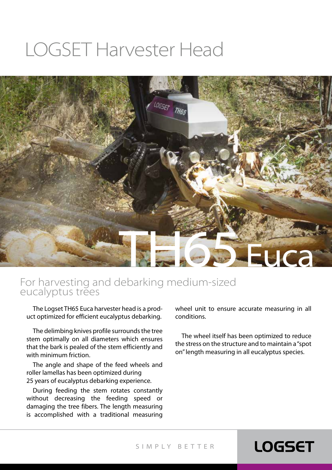# LOGSET Harvester Head



#### For harvesting and debarking medium-sized eucalyptus trees

The Logset TH65 Euca harvester head is a product optimized for efficient eucalyptus debarking.

The delimbing knives profile surrounds the tree stem optimally on all diameters which ensures that the bark is pealed of the stem efficiently and with minimum friction.

The angle and shape of the feed wheels and roller lamellas has been optimized during 25 years of eucalyptus debarking experience.

During feeding the stem rotates constantly without decreasing the feeding speed or damaging the tree fibers. The length measuring is accomplished with a traditional measuring

wheel unit to ensure accurate measuring in all conditions.

The wheel itself has been optimized to reduce the stress on the structure and to maintain a "spot on" length measuring in all eucalyptus species.

#### SIMPLY BETTER

#### **LOGSET**